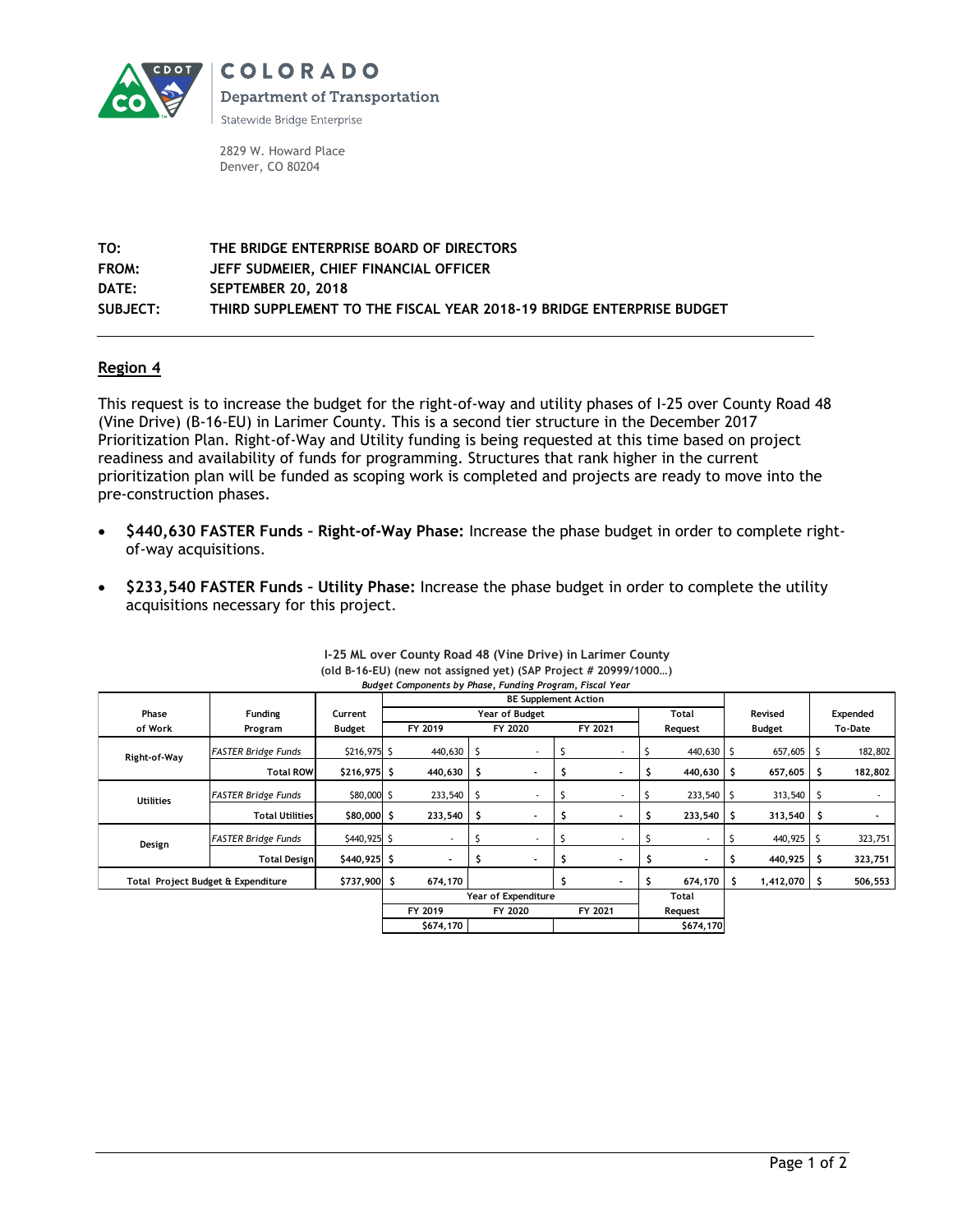

COLORADO **Department of Transportation** 

Statewide Bridge Enterprise

2829 W. Howard Place Denver, CO 80204

**TO: THE BRIDGE ENTERPRISE BOARD OF DIRECTORS FROM: JEFF SUDMEIER, CHIEF FINANCIAL OFFICER DATE: SEPTEMBER 20, 2018 SUBJECT: THIRD SUPPLEMENT TO THE FISCAL YEAR 2018-19 BRIDGE ENTERPRISE BUDGET**

## **Region 4**

This request is to increase the budget for the right-of-way and utility phases of I-25 over County Road 48 (Vine Drive) (B-16-EU) in Larimer County. This is a second tier structure in the December 2017 Prioritization Plan. Right-of-Way and Utility funding is being requested at this time based on project readiness and availability of funds for programming. Structures that rank higher in the current prioritization plan will be funded as scoping work is completed and projects are ready to move into the pre-construction phases.

- **\$440,630 FASTER Funds – Right-of-Way Phase:** Increase the phase budget in order to complete rightof-way acquisitions.
- **\$233,540 FASTER Funds – Utility Phase:** Increase the phase budget in order to complete the utility acquisitions necessary for this project.

|                                    |                             |               | Budget Components by Phase, Funding Program, Fiscal Year |                          |         |                          |         |                |              |                |         |                |          |          |
|------------------------------------|-----------------------------|---------------|----------------------------------------------------------|--------------------------|---------|--------------------------|---------|----------------|--------------|----------------|---------|----------------|----------|----------|
|                                    | <b>BE Supplement Action</b> |               |                                                          |                          |         |                          |         |                |              |                |         |                |          |          |
| Phase                              | Funding                     | Current       | Year of Budget                                           |                          |         |                          |         |                | <b>Total</b> |                | Revised |                | Expended |          |
| of Work                            | Program                     | Budget        | FY 2019                                                  |                          | FY 2020 |                          | FY 2021 |                | Request      |                | Budget  |                | To-Date  |          |
| Right-of-Way                       | <b>FASTER Bridge Funds</b>  | \$216,975 \$  |                                                          | 440,630                  |         | $\overline{\phantom{a}}$ |         |                |              | 440,630 \$     |         | 657,605        | -\$      | 182,802  |
|                                    | <b>Total ROW</b>            | $$216,975$ \$ |                                                          | 440,630                  |         |                          |         |                |              | 440,630        | -\$     | 657,605        | -S       | 182,802  |
| <b>Utilities</b>                   | FASTER Bridge Funds         | \$80,000 \$   |                                                          | 233,540                  |         | ٠                        |         |                |              | 233,540        |         | 313,540        | - S      |          |
|                                    | <b>Total Utilities</b>      | $$80,000$ \$  |                                                          | 233,540                  |         | $\overline{\phantom{a}}$ |         |                |              | 233,540        | -S      | 313,540        | - S      |          |
| Design                             | <b>FASTER Bridge Funds</b>  | \$440,925 \$  |                                                          | $\blacksquare$           |         | ٠                        |         | $\blacksquare$ |              | $\blacksquare$ |         | 440,925        | -S       | 323,751  |
|                                    | <b>Total Design</b>         | \$440,925 \$  |                                                          | $\overline{\phantom{a}}$ |         |                          |         |                |              |                |         | 440,925        |          | 323,751  |
| Total Project Budget & Expenditure |                             | \$737,900 \$  |                                                          | 674,170                  |         |                          |         |                |              | 674,170        |         | $1,412,070$ \$ |          | 506, 553 |
|                                    | Year of Expenditure         |               |                                                          |                          |         |                          | Total   |                |              |                |         |                |          |          |
|                                    |                             |               | FY 2019                                                  |                          | FY 2020 |                          | FY 2021 |                | Request      |                |         |                |          |          |
|                                    |                             | \$674,170     |                                                          |                          |         |                          |         | \$674,170      |              |                |         |                |          |          |

| I-25 ML over County Road 48 (Vine Drive) in Larimer County       |
|------------------------------------------------------------------|
| (old B-16-EU) (new not assigned yet) (SAP Project # 20999/1000)  |
| <b>Rudget Components by Phase, Funding Program, Fiscal Vegr.</b> |